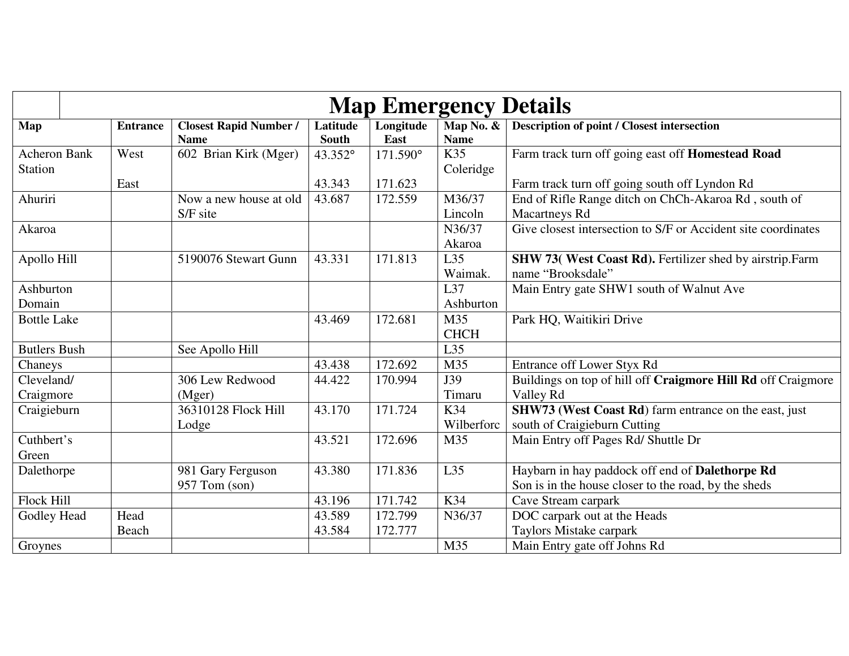|                     | <b>Map Emergency Details</b> |                                              |                          |                   |                          |                                                               |  |  |
|---------------------|------------------------------|----------------------------------------------|--------------------------|-------------------|--------------------------|---------------------------------------------------------------|--|--|
| Map                 | <b>Entrance</b>              | <b>Closest Rapid Number /</b><br><b>Name</b> | Latitude<br><b>South</b> | Longitude<br>East | Map No. &<br><b>Name</b> | <b>Description of point / Closest intersection</b>            |  |  |
| <b>Acheron Bank</b> | West                         | 602 Brian Kirk (Mger)                        | 43.352°                  | 171.590°          | K35                      | Farm track turn off going east off Homestead Road             |  |  |
| <b>Station</b>      |                              |                                              |                          |                   | Coleridge                |                                                               |  |  |
|                     | East                         |                                              | 43.343                   | 171.623           |                          | Farm track turn off going south off Lyndon Rd                 |  |  |
| Ahuriri             |                              | Now a new house at old                       | 43.687                   | 172.559           | M36/37                   | End of Rifle Range ditch on ChCh-Akaroa Rd, south of          |  |  |
|                     |                              | S/F site                                     |                          |                   | Lincoln                  | <b>Macartneys Rd</b>                                          |  |  |
| Akaroa              |                              |                                              |                          |                   | N36/37                   | Give closest intersection to S/F or Accident site coordinates |  |  |
|                     |                              |                                              |                          |                   | Akaroa                   |                                                               |  |  |
| Apollo Hill         |                              | 5190076 Stewart Gunn                         | 43.331                   | 171.813           | L35                      | SHW 73( West Coast Rd). Fertilizer shed by airstrip.Farm      |  |  |
|                     |                              |                                              |                          |                   | Waimak.                  | name "Brooksdale"                                             |  |  |
| Ashburton           |                              |                                              |                          |                   | L37                      | Main Entry gate SHW1 south of Walnut Ave                      |  |  |
| Domain              |                              |                                              |                          |                   | Ashburton                |                                                               |  |  |
| <b>Bottle Lake</b>  |                              |                                              | 43.469                   | 172.681           | M35                      | Park HQ, Waitikiri Drive                                      |  |  |
|                     |                              |                                              |                          |                   | <b>CHCH</b>              |                                                               |  |  |
| <b>Butlers Bush</b> |                              | See Apollo Hill                              |                          |                   | L35                      |                                                               |  |  |
| Chaneys             |                              |                                              | 43.438                   | 172.692           | M35                      | Entrance off Lower Styx Rd                                    |  |  |
| Cleveland/          |                              | 306 Lew Redwood                              | 44.422                   | 170.994           | J39                      | Buildings on top of hill off Craigmore Hill Rd off Craigmore  |  |  |
| Craigmore           |                              | (Mger)                                       |                          |                   | Timaru                   | Valley Rd                                                     |  |  |
| Craigieburn         |                              | 36310128 Flock Hill                          | 43.170                   | 171.724           | K34                      | SHW73 (West Coast Rd) farm entrance on the east, just         |  |  |
|                     |                              | Lodge                                        |                          |                   | Wilberforc               | south of Craigieburn Cutting                                  |  |  |
| Cuthbert's          |                              |                                              | 43.521                   | 172.696           | M35                      | Main Entry off Pages Rd/ Shuttle Dr                           |  |  |
| Green               |                              |                                              |                          |                   |                          |                                                               |  |  |
| Dalethorpe          |                              | 981 Gary Ferguson                            | 43.380                   | 171.836           | L35                      | Haybarn in hay paddock off end of Dalethorpe Rd               |  |  |
|                     |                              | 957 Tom (son)                                |                          |                   |                          | Son is in the house closer to the road, by the sheds          |  |  |
| Flock Hill          |                              |                                              | 43.196                   | 171.742           | K34                      | Cave Stream carpark                                           |  |  |
| Godley Head         | Head                         |                                              | 43.589                   | 172.799           | N36/37                   | DOC carpark out at the Heads                                  |  |  |
|                     | Beach                        |                                              | 43.584                   | 172.777           |                          | Taylors Mistake carpark                                       |  |  |
| Groynes             |                              |                                              |                          |                   | M35                      | Main Entry gate off Johns Rd                                  |  |  |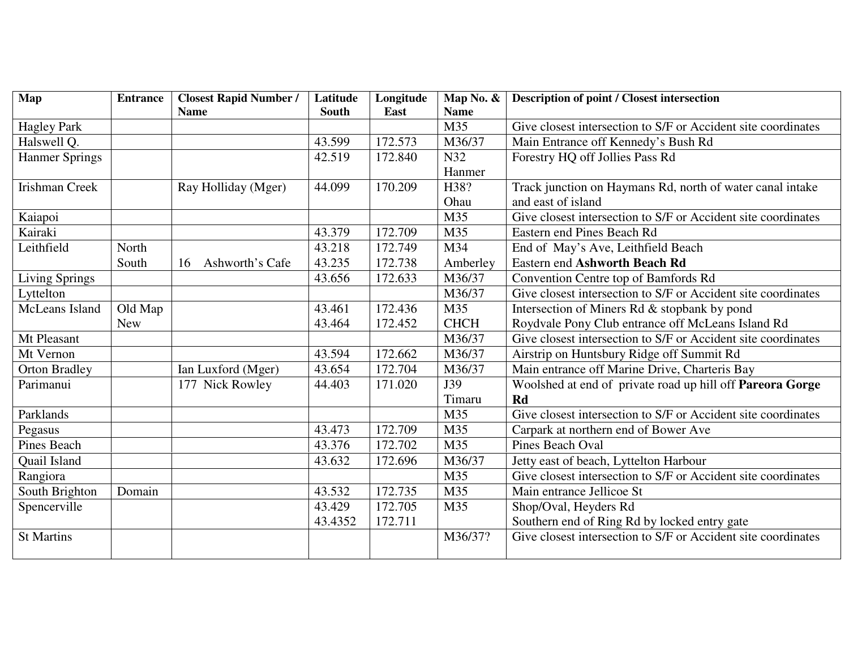| Map                   | <b>Entrance</b> | <b>Closest Rapid Number /</b> | Latitude | Longitude | Map No. &   | <b>Description of point / Closest intersection</b>            |
|-----------------------|-----------------|-------------------------------|----------|-----------|-------------|---------------------------------------------------------------|
|                       |                 | <b>Name</b>                   | South    | East      | <b>Name</b> |                                                               |
| <b>Hagley Park</b>    |                 |                               |          |           | M35         | Give closest intersection to S/F or Accident site coordinates |
| Halswell Q.           |                 |                               | 43.599   | 172.573   | M36/37      | Main Entrance off Kennedy's Bush Rd                           |
| <b>Hanmer Springs</b> |                 |                               | 42.519   | 172.840   | N32         | Forestry HQ off Jollies Pass Rd                               |
|                       |                 |                               |          |           | Hanmer      |                                                               |
| <b>Irishman Creek</b> |                 | Ray Holliday (Mger)           | 44.099   | 170.209   | H38?        | Track junction on Haymans Rd, north of water canal intake     |
|                       |                 |                               |          |           | Ohau        | and east of island                                            |
| Kaiapoi               |                 |                               |          |           | M35         | Give closest intersection to S/F or Accident site coordinates |
| Kairaki               |                 |                               | 43.379   | 172.709   | M35         | <b>Eastern end Pines Beach Rd</b>                             |
| Leithfield            | North           |                               | 43.218   | 172.749   | M34         | End of May's Ave, Leithfield Beach                            |
|                       | South           | Ashworth's Cafe<br>16         | 43.235   | 172.738   | Amberley    | <b>Eastern end Ashworth Beach Rd</b>                          |
| <b>Living Springs</b> |                 |                               | 43.656   | 172.633   | M36/37      | Convention Centre top of Bamfords Rd                          |
| Lyttelton             |                 |                               |          |           | M36/37      | Give closest intersection to S/F or Accident site coordinates |
| McLeans Island        | Old Map         |                               | 43.461   | 172.436   | M35         | Intersection of Miners Rd & stopbank by pond                  |
|                       | <b>New</b>      |                               | 43.464   | 172.452   | <b>CHCH</b> | Roydvale Pony Club entrance off McLeans Island Rd             |
| Mt Pleasant           |                 |                               |          |           | M36/37      | Give closest intersection to S/F or Accident site coordinates |
| Mt Vernon             |                 |                               | 43.594   | 172.662   | M36/37      | Airstrip on Huntsbury Ridge off Summit Rd                     |
| <b>Orton Bradley</b>  |                 | Ian Luxford (Mger)            | 43.654   | 172.704   | M36/37      | Main entrance off Marine Drive, Charteris Bay                 |
| Parimanui             |                 | 177 Nick Rowley               | 44.403   | 171.020   | J39         | Woolshed at end of private road up hill off Pareora Gorge     |
|                       |                 |                               |          |           | Timaru      | Rd                                                            |
| Parklands             |                 |                               |          |           | M35         | Give closest intersection to S/F or Accident site coordinates |
| Pegasus               |                 |                               | 43.473   | 172.709   | M35         | Carpark at northern end of Bower Ave                          |
| <b>Pines Beach</b>    |                 |                               | 43.376   | 172.702   | M35         | Pines Beach Oval                                              |
| Quail Island          |                 |                               | 43.632   | 172.696   | M36/37      | Jetty east of beach, Lyttelton Harbour                        |
| Rangiora              |                 |                               |          |           | M35         | Give closest intersection to S/F or Accident site coordinates |
| South Brighton        | Domain          |                               | 43.532   | 172.735   | M35         | Main entrance Jellicoe St                                     |
| Spencerville          |                 |                               | 43.429   | 172.705   | M35         | Shop/Oval, Heyders Rd                                         |
|                       |                 |                               | 43.4352  | 172.711   |             | Southern end of Ring Rd by locked entry gate                  |
| <b>St Martins</b>     |                 |                               |          |           | M36/37?     | Give closest intersection to S/F or Accident site coordinates |